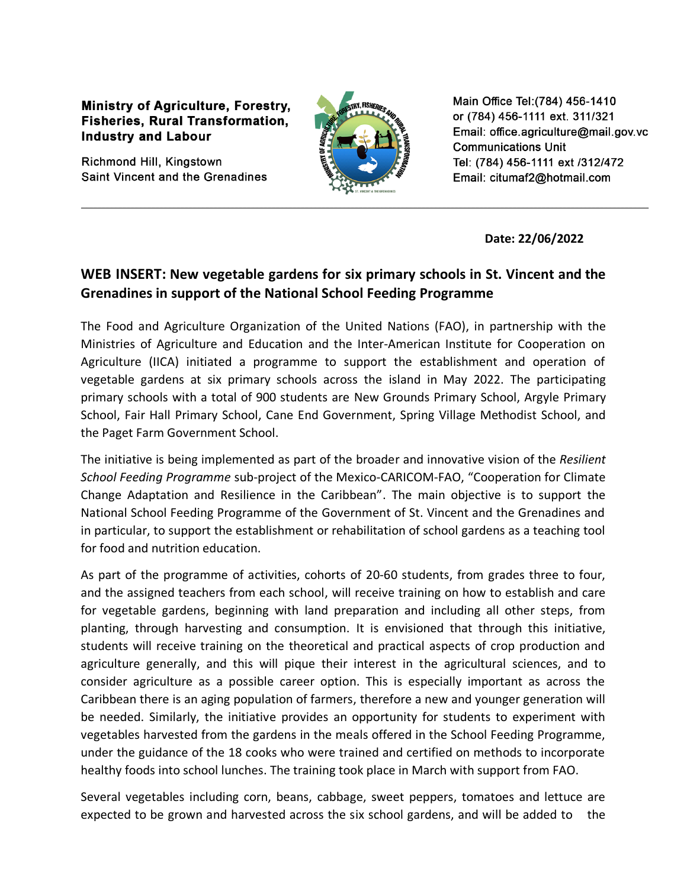**Ministry of Agriculture, Forestry, Fisheries, Rural Transformation, Industry and Labour** 

Richmond Hill, Kingstown Saint Vincent and the Grenadines



Main Office Tel: (784) 456-1410 or (784) 456-1111 ext. 311/321 Email: office.agriculture@mail.gov.vc **Communications Unit** Tel: (784) 456-1111 ext /312/472 Email: citumaf2@hotmail.com

**Date: 22/06/2022**

## **WEB INSERT: New vegetable gardens for six primary schools in St. Vincent and the Grenadines in support of the National School Feeding Programme**

The Food and Agriculture Organization of the United Nations (FAO), in partnership with the Ministries of Agriculture and Education and the Inter-American Institute for Cooperation on Agriculture (IICA) initiated a programme to support the establishment and operation of vegetable gardens at six primary schools across the island in May 2022. The participating primary schools with a total of 900 students are New Grounds Primary School, Argyle Primary School, Fair Hall Primary School, Cane End Government, Spring Village Methodist School, and the Paget Farm Government School.

The initiative is being implemented as part of the broader and innovative vision of the *Resilient School Feeding Programme* sub-project of the Mexico-CARICOM-FAO, "Cooperation for Climate Change Adaptation and Resilience in the Caribbean". The main objective is to support the National School Feeding Programme of the Government of St. Vincent and the Grenadines and in particular, to support the establishment or rehabilitation of school gardens as a teaching tool for food and nutrition education.

As part of the programme of activities, cohorts of 20-60 students, from grades three to four, and the assigned teachers from each school, will receive training on how to establish and care for vegetable gardens, beginning with land preparation and including all other steps, from planting, through harvesting and consumption. It is envisioned that through this initiative, students will receive training on the theoretical and practical aspects of crop production and agriculture generally, and this will pique their interest in the agricultural sciences, and to consider agriculture as a possible career option. This is especially important as across the Caribbean there is an aging population of farmers, therefore a new and younger generation will be needed. Similarly, the initiative provides an opportunity for students to experiment with vegetables harvested from the gardens in the meals offered in the School Feeding Programme, under the guidance of the 18 cooks who were trained and certified on methods to incorporate healthy foods into school lunches. The training took place in March with support from FAO.

Several vegetables including corn, beans, cabbage, sweet peppers, tomatoes and lettuce are expected to be grown and harvested across the six school gardens, and will be added to the